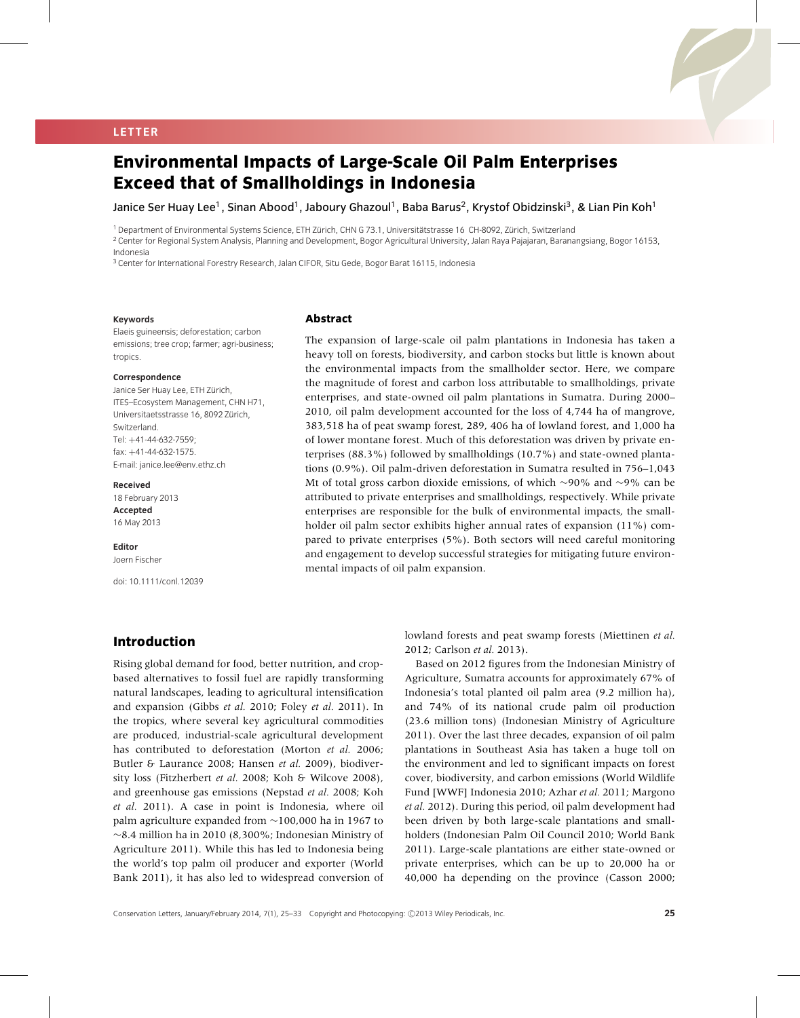## **LETTER**

# **Environmental Impacts of Large-Scale Oil Palm Enterprises Exceed that of Smallholdings in Indonesia**

Janice Ser Huay Lee<sup>1</sup>, Sinan Abood<sup>1</sup>, Jaboury Ghazoul<sup>1</sup>, Baba Barus<sup>2</sup>, Krystof Obidzinski<sup>3</sup>, & Lian Pin Koh<sup>1</sup>

<sup>1</sup> Department of Environmental Systems Science, ETH Zürich, CHN G 73.1, Universitätstrasse 16 CH-8092, Zürich, Switzerland

<sup>2</sup> Center for Regional System Analysis, Planning and Development, Bogor Agricultural University, Jalan Raya Pajajaran, Baranangsiang, Bogor 16153, Indonesia

<sup>3</sup> Center for International Forestry Research, Jalan CIFOR, Situ Gede, Bogor Barat 16115, Indonesia

#### **Keywords**

Elaeis guineensis; deforestation; carbon emissions; tree crop; farmer; agri-business; tropics.

#### **Correspondence**

Janice Ser Huay Lee, ETH Zürich, ITES–Ecosystem Management, CHN H71, Universitaetsstrasse 16, 8092 Zürich, Switzerland. Tel: +41-44-632-7559; fax: +41-44-632-1575. E-mail: janice.lee@env.ethz.ch

#### **Received**

18 February 2013 **Accepted** 16 May 2013

**Editor** Joern Fischer

doi: 10.1111/conl.12039

#### **Abstract**

The expansion of large-scale oil palm plantations in Indonesia has taken a heavy toll on forests, biodiversity, and carbon stocks but little is known about the environmental impacts from the smallholder sector. Here, we compare the magnitude of forest and carbon loss attributable to smallholdings, private enterprises, and state-owned oil palm plantations in Sumatra. During 2000– 2010, oil palm development accounted for the loss of 4,744 ha of mangrove, 383,518 ha of peat swamp forest, 289, 406 ha of lowland forest, and 1,000 ha of lower montane forest. Much of this deforestation was driven by private enterprises (88.3%) followed by smallholdings (10.7%) and state-owned plantations (0.9%). Oil palm-driven deforestation in Sumatra resulted in 756–1,043 Mt of total gross carbon dioxide emissions, of which ∼90% and ∼9% can be attributed to private enterprises and smallholdings, respectively. While private enterprises are responsible for the bulk of environmental impacts, the smallholder oil palm sector exhibits higher annual rates of expansion (11%) compared to private enterprises (5%). Both sectors will need careful monitoring and engagement to develop successful strategies for mitigating future environmental impacts of oil palm expansion.

# **Introduction**

Rising global demand for food, better nutrition, and cropbased alternatives to fossil fuel are rapidly transforming natural landscapes, leading to agricultural intensification and expansion (Gibbs *et al.* 2010; Foley *et al.* 2011). In the tropics, where several key agricultural commodities are produced, industrial-scale agricultural development has contributed to deforestation (Morton *et al.* 2006; Butler & Laurance 2008; Hansen *et al.* 2009), biodiversity loss (Fitzherbert *et al.* 2008; Koh & Wilcove 2008), and greenhouse gas emissions (Nepstad *et al.* 2008; Koh *et al.* 2011). A case in point is Indonesia, where oil palm agriculture expanded from ∼100,000 ha in 1967 to ∼8.4 million ha in 2010 (8,300%; Indonesian Ministry of Agriculture 2011). While this has led to Indonesia being the world's top palm oil producer and exporter (World Bank 2011), it has also led to widespread conversion of lowland forests and peat swamp forests (Miettinen *et al.* 2012; Carlson *et al.* 2013).

Based on 2012 figures from the Indonesian Ministry of Agriculture, Sumatra accounts for approximately 67% of Indonesia's total planted oil palm area (9.2 million ha), and 74% of its national crude palm oil production (23.6 million tons) (Indonesian Ministry of Agriculture 2011). Over the last three decades, expansion of oil palm plantations in Southeast Asia has taken a huge toll on the environment and led to significant impacts on forest cover, biodiversity, and carbon emissions (World Wildlife Fund [WWF] Indonesia 2010; Azhar *et al.* 2011; Margono *et al.* 2012). During this period, oil palm development had been driven by both large-scale plantations and smallholders (Indonesian Palm Oil Council 2010; World Bank 2011). Large-scale plantations are either state-owned or private enterprises, which can be up to 20,000 ha or 40,000 ha depending on the province (Casson 2000;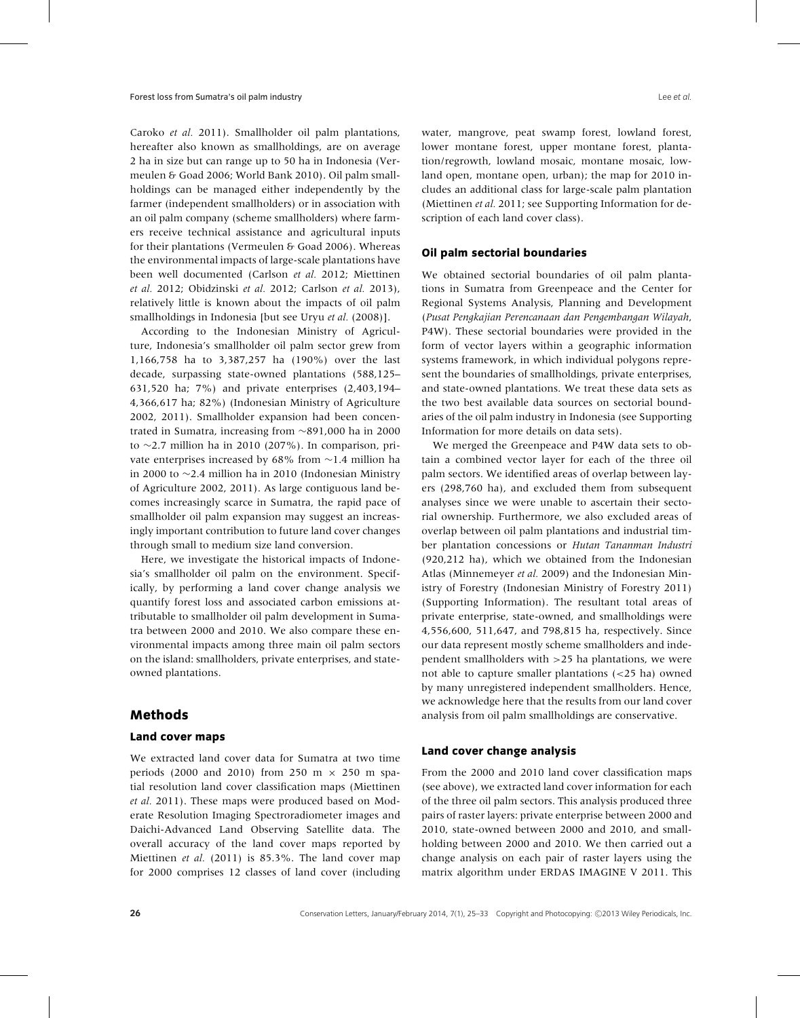Caroko *et al.* 2011). Smallholder oil palm plantations, hereafter also known as smallholdings, are on average 2 ha in size but can range up to 50 ha in Indonesia (Vermeulen & Goad 2006; World Bank 2010). Oil palm smallholdings can be managed either independently by the farmer (independent smallholders) or in association with an oil palm company (scheme smallholders) where farmers receive technical assistance and agricultural inputs for their plantations (Vermeulen & Goad 2006). Whereas the environmental impacts of large-scale plantations have been well documented (Carlson *et al.* 2012; Miettinen *et al.* 2012; Obidzinski *et al.* 2012; Carlson *et al.* 2013), relatively little is known about the impacts of oil palm smallholdings in Indonesia [but see Uryu *et al.* (2008)].

According to the Indonesian Ministry of Agriculture, Indonesia's smallholder oil palm sector grew from 1,166,758 ha to 3,387,257 ha (190%) over the last decade, surpassing state-owned plantations (588,125– 631,520 ha; 7%) and private enterprises (2,403,194– 4,366,617 ha; 82%) (Indonesian Ministry of Agriculture 2002, 2011). Smallholder expansion had been concentrated in Sumatra, increasing from ∼891,000 ha in 2000 to ∼2.7 million ha in 2010 (207%). In comparison, private enterprises increased by 68% from ∼1.4 million ha in 2000 to ∼2.4 million ha in 2010 (Indonesian Ministry of Agriculture 2002, 2011). As large contiguous land becomes increasingly scarce in Sumatra, the rapid pace of smallholder oil palm expansion may suggest an increasingly important contribution to future land cover changes through small to medium size land conversion.

Here, we investigate the historical impacts of Indonesia's smallholder oil palm on the environment. Specifically, by performing a land cover change analysis we quantify forest loss and associated carbon emissions attributable to smallholder oil palm development in Sumatra between 2000 and 2010. We also compare these environmental impacts among three main oil palm sectors on the island: smallholders, private enterprises, and stateowned plantations.

## **Methods**

#### **Land cover maps**

We extracted land cover data for Sumatra at two time periods (2000 and 2010) from 250 m  $\times$  250 m spatial resolution land cover classification maps (Miettinen *et al.* 2011). These maps were produced based on Moderate Resolution Imaging Spectroradiometer images and Daichi-Advanced Land Observing Satellite data. The overall accuracy of the land cover maps reported by Miettinen *et al.* (2011) is 85.3%. The land cover map for 2000 comprises 12 classes of land cover (including water, mangrove, peat swamp forest, lowland forest, lower montane forest, upper montane forest, plantation/regrowth, lowland mosaic, montane mosaic, lowland open, montane open, urban); the map for 2010 includes an additional class for large-scale palm plantation (Miettinen *et al.* 2011; see Supporting Information for description of each land cover class).

#### **Oil palm sectorial boundaries**

We obtained sectorial boundaries of oil palm plantations in Sumatra from Greenpeace and the Center for Regional Systems Analysis, Planning and Development (*Pusat Pengkajian Perencanaan dan Pengembangan Wilayah*, P4W). These sectorial boundaries were provided in the form of vector layers within a geographic information systems framework, in which individual polygons represent the boundaries of smallholdings, private enterprises, and state-owned plantations. We treat these data sets as the two best available data sources on sectorial boundaries of the oil palm industry in Indonesia (see Supporting Information for more details on data sets).

We merged the Greenpeace and P4W data sets to obtain a combined vector layer for each of the three oil palm sectors. We identified areas of overlap between layers (298,760 ha), and excluded them from subsequent analyses since we were unable to ascertain their sectorial ownership. Furthermore, we also excluded areas of overlap between oil palm plantations and industrial timber plantation concessions or *Hutan Tananman Industri* (920,212 ha), which we obtained from the Indonesian Atlas (Minnemeyer *et al.* 2009) and the Indonesian Ministry of Forestry (Indonesian Ministry of Forestry 2011) (Supporting Information). The resultant total areas of private enterprise, state-owned, and smallholdings were 4,556,600, 511,647, and 798,815 ha, respectively. Since our data represent mostly scheme smallholders and independent smallholders with *>*25 ha plantations, we were not able to capture smaller plantations (*<*25 ha) owned by many unregistered independent smallholders. Hence, we acknowledge here that the results from our land cover analysis from oil palm smallholdings are conservative.

#### **Land cover change analysis**

From the 2000 and 2010 land cover classification maps (see above), we extracted land cover information for each of the three oil palm sectors. This analysis produced three pairs of raster layers: private enterprise between 2000 and 2010, state-owned between 2000 and 2010, and smallholding between 2000 and 2010. We then carried out a change analysis on each pair of raster layers using the matrix algorithm under ERDAS IMAGINE V 2011. This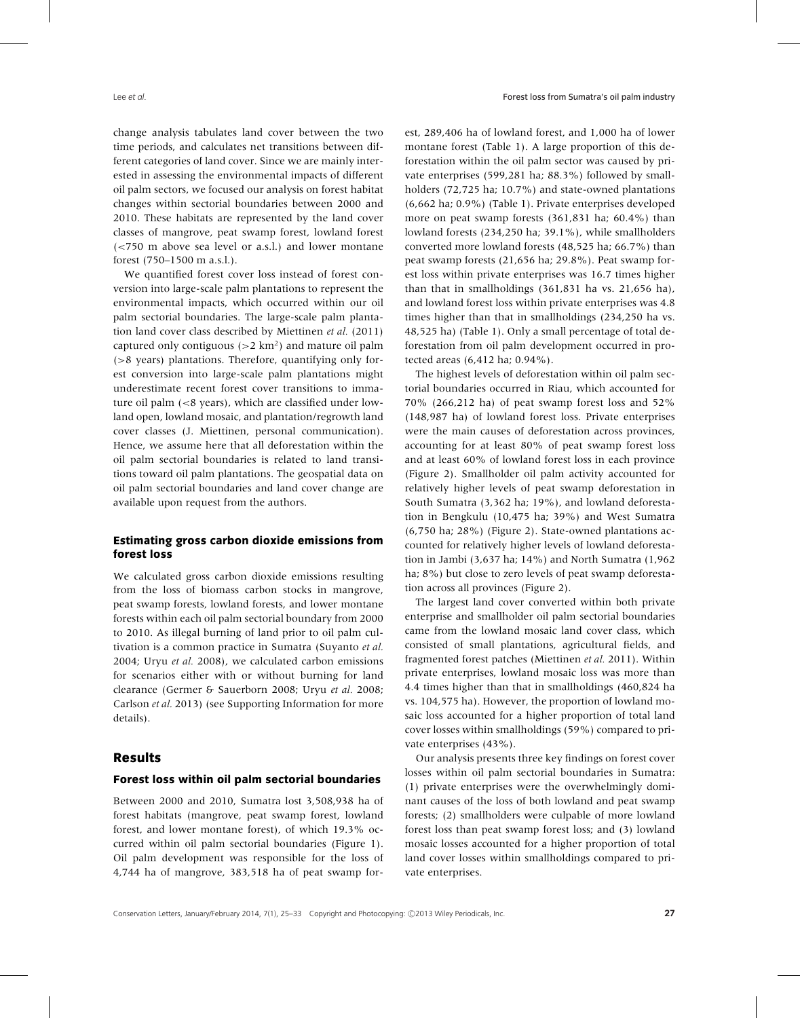change analysis tabulates land cover between the two time periods, and calculates net transitions between different categories of land cover. Since we are mainly interested in assessing the environmental impacts of different oil palm sectors, we focused our analysis on forest habitat changes within sectorial boundaries between 2000 and 2010. These habitats are represented by the land cover classes of mangrove, peat swamp forest, lowland forest (*<*750 m above sea level or a.s.l.) and lower montane forest (750–1500 m a.s.l.).

We quantified forest cover loss instead of forest conversion into large-scale palm plantations to represent the environmental impacts, which occurred within our oil palm sectorial boundaries. The large-scale palm plantation land cover class described by Miettinen *et al.* (2011) captured only contiguous (*>*2 km2) and mature oil palm (*>*8 years) plantations. Therefore, quantifying only forest conversion into large-scale palm plantations might underestimate recent forest cover transitions to immature oil palm (*<*8 years), which are classified under lowland open, lowland mosaic, and plantation/regrowth land cover classes (J. Miettinen, personal communication). Hence, we assume here that all deforestation within the oil palm sectorial boundaries is related to land transitions toward oil palm plantations. The geospatial data on oil palm sectorial boundaries and land cover change are available upon request from the authors.

## **Estimating gross carbon dioxide emissions from forest loss**

We calculated gross carbon dioxide emissions resulting from the loss of biomass carbon stocks in mangrove, peat swamp forests, lowland forests, and lower montane forests within each oil palm sectorial boundary from 2000 to 2010. As illegal burning of land prior to oil palm cultivation is a common practice in Sumatra (Suyanto *et al.* 2004; Uryu *et al.* 2008), we calculated carbon emissions for scenarios either with or without burning for land clearance (Germer & Sauerborn 2008; Uryu *et al.* 2008; Carlson *et al.* 2013) (see Supporting Information for more details).

## **Results**

#### **Forest loss within oil palm sectorial boundaries**

Between 2000 and 2010, Sumatra lost 3,508,938 ha of forest habitats (mangrove, peat swamp forest, lowland forest, and lower montane forest), of which 19.3% occurred within oil palm sectorial boundaries (Figure 1). Oil palm development was responsible for the loss of 4,744 ha of mangrove, 383,518 ha of peat swamp forest, 289,406 ha of lowland forest, and 1,000 ha of lower montane forest (Table 1). A large proportion of this deforestation within the oil palm sector was caused by private enterprises (599,281 ha; 88.3%) followed by smallholders (72,725 ha; 10.7%) and state-owned plantations (6,662 ha; 0.9%) (Table 1). Private enterprises developed more on peat swamp forests (361,831 ha; 60.4%) than lowland forests (234,250 ha; 39.1%), while smallholders converted more lowland forests (48,525 ha; 66.7%) than peat swamp forests (21,656 ha; 29.8%). Peat swamp forest loss within private enterprises was 16.7 times higher than that in smallholdings (361,831 ha vs. 21,656 ha), and lowland forest loss within private enterprises was 4.8 times higher than that in smallholdings (234,250 ha vs. 48,525 ha) (Table 1). Only a small percentage of total deforestation from oil palm development occurred in protected areas (6,412 ha; 0.94%).

The highest levels of deforestation within oil palm sectorial boundaries occurred in Riau, which accounted for 70% (266,212 ha) of peat swamp forest loss and 52% (148,987 ha) of lowland forest loss. Private enterprises were the main causes of deforestation across provinces, accounting for at least 80% of peat swamp forest loss and at least 60% of lowland forest loss in each province (Figure 2). Smallholder oil palm activity accounted for relatively higher levels of peat swamp deforestation in South Sumatra (3,362 ha; 19%), and lowland deforestation in Bengkulu (10,475 ha; 39%) and West Sumatra (6,750 ha; 28%) (Figure 2). State-owned plantations accounted for relatively higher levels of lowland deforestation in Jambi (3,637 ha; 14%) and North Sumatra (1,962 ha; 8%) but close to zero levels of peat swamp deforestation across all provinces (Figure 2).

The largest land cover converted within both private enterprise and smallholder oil palm sectorial boundaries came from the lowland mosaic land cover class, which consisted of small plantations, agricultural fields, and fragmented forest patches (Miettinen *et al.* 2011). Within private enterprises, lowland mosaic loss was more than 4.4 times higher than that in smallholdings (460,824 ha vs. 104,575 ha). However, the proportion of lowland mosaic loss accounted for a higher proportion of total land cover losses within smallholdings (59%) compared to private enterprises (43%).

Our analysis presents three key findings on forest cover losses within oil palm sectorial boundaries in Sumatra: (1) private enterprises were the overwhelmingly dominant causes of the loss of both lowland and peat swamp forests; (2) smallholders were culpable of more lowland forest loss than peat swamp forest loss; and (3) lowland mosaic losses accounted for a higher proportion of total land cover losses within smallholdings compared to private enterprises.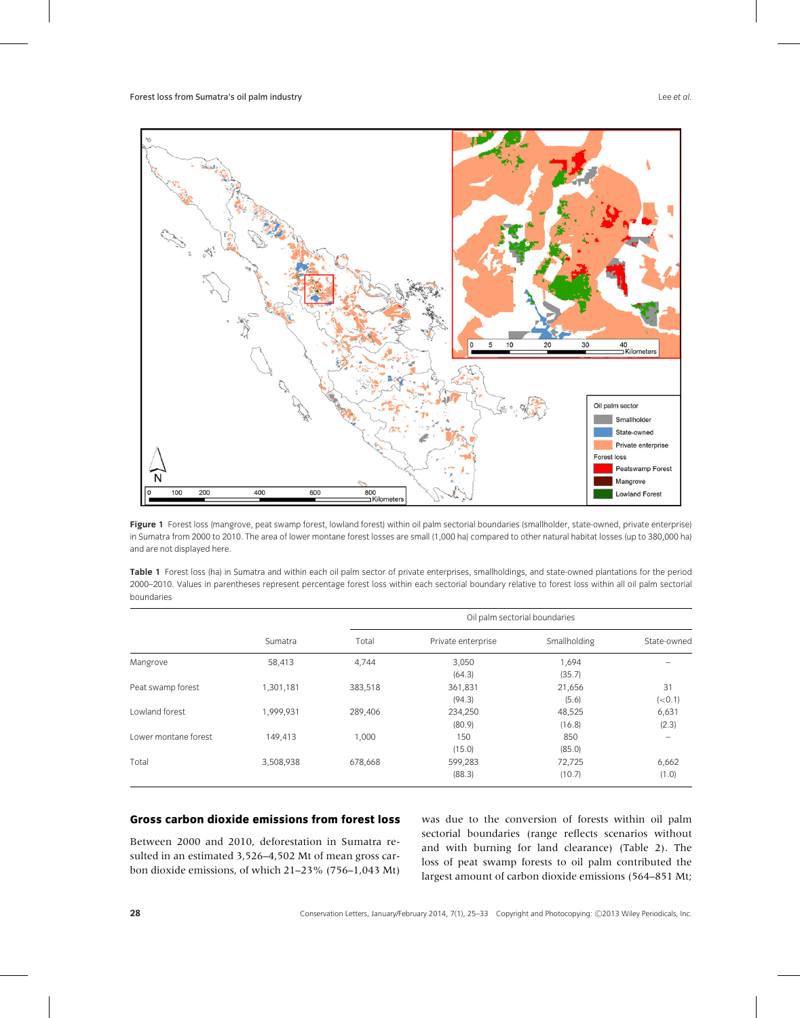

Figure 1 Forest loss (mangrove, peat swamp forest, lowland forest) within oil palm sectorial boundaries (smallholder, state-owned, private enterprise) in Sumatra from 2000 to 2010. The area of lower montane forest losses are small (1,000 ha) compared to other natural habitat losses (up to 380,000 ha) and are not displayed here.

| Table 1 Forest loss (ha) in Sumatra and within each oil palm sector of private enterprises, smallholdings, and state-owned plantations for the period  |
|--------------------------------------------------------------------------------------------------------------------------------------------------------|
| 2000-2010. Values in parentheses represent percentage forest loss within each sectorial boundary relative to forest loss within all oil palm sectorial |
| boundaries                                                                                                                                             |

|                      |           |         | Oil palm sectorial boundaries |              |             |  |
|----------------------|-----------|---------|-------------------------------|--------------|-------------|--|
|                      | Sumatra   | Total   | Private enterprise            | Smallholding | State-owned |  |
| Mangrove             | 58,413    | 4,744   | 3,050                         | 1,694        |             |  |
|                      |           |         | (64.3)                        | (35.7)       |             |  |
| Peat swamp forest    | 1,301,181 | 383,518 | 361,831                       | 21,656       | 31          |  |
|                      |           |         | (94.3)                        | (5.6)        | (< 0.1)     |  |
| Lowland forest       | 1,999,931 | 289,406 | 234,250                       | 48,525       | 6,631       |  |
|                      |           |         | (80.9)                        | (16.8)       | (2.3)       |  |
| Lower montane forest | 149,413   | 1,000   | 150                           | 850          | -           |  |
|                      |           |         | (15.0)                        | (85.0)       |             |  |
| Total                | 3,508,938 | 678,668 | 599,283                       | 72,725       | 6,662       |  |
|                      |           |         | (88.3)                        | (10.7)       | (1.0)       |  |

#### **Gross carbon dioxide emissions from forest loss**

Between 2000 and 2010, deforestation in Sumatra resulted in an estimated 3,526–4,502 Mt of mean gross carbon dioxide emissions, of which 21–23% (756–1,043 Mt) was due to the conversion of forests within oil palm sectorial boundaries (range reflects scenarios without and with burning for land clearance) (Table 2). The loss of peat swamp forests to oil palm contributed the largest amount of carbon dioxide emissions (564–851 Mt;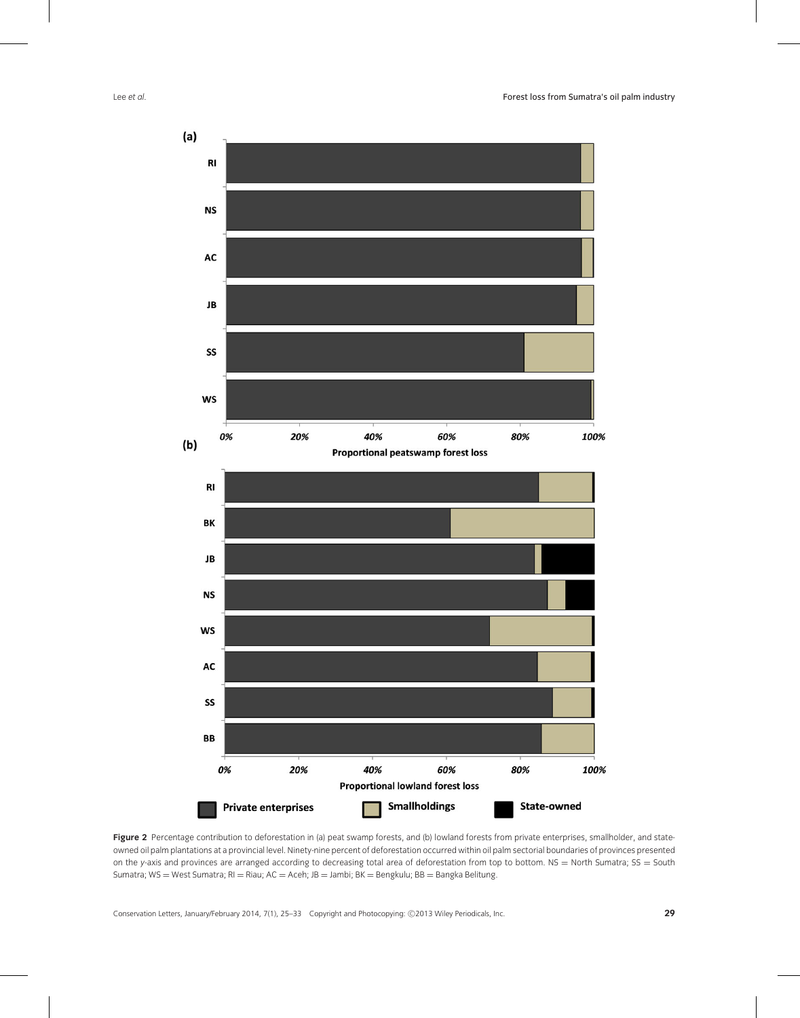

Figure 2 Percentage contribution to deforestation in (a) peat swamp forests, and (b) lowland forests from private enterprises, smallholder, and stateowned oil palm plantations at a provincial level. Ninety-nine percent of deforestation occurred within oil palm sectorial boundaries of provinces presented on the *y*-axis and provinces are arranged according to decreasing total area of deforestation from top to bottom. NS = North Sumatra; SS = South Sumatra; WS = West Sumatra; RI = Riau; AC = Aceh; JB = Jambi; BK = Bengkulu; BB = Bangka Belitung.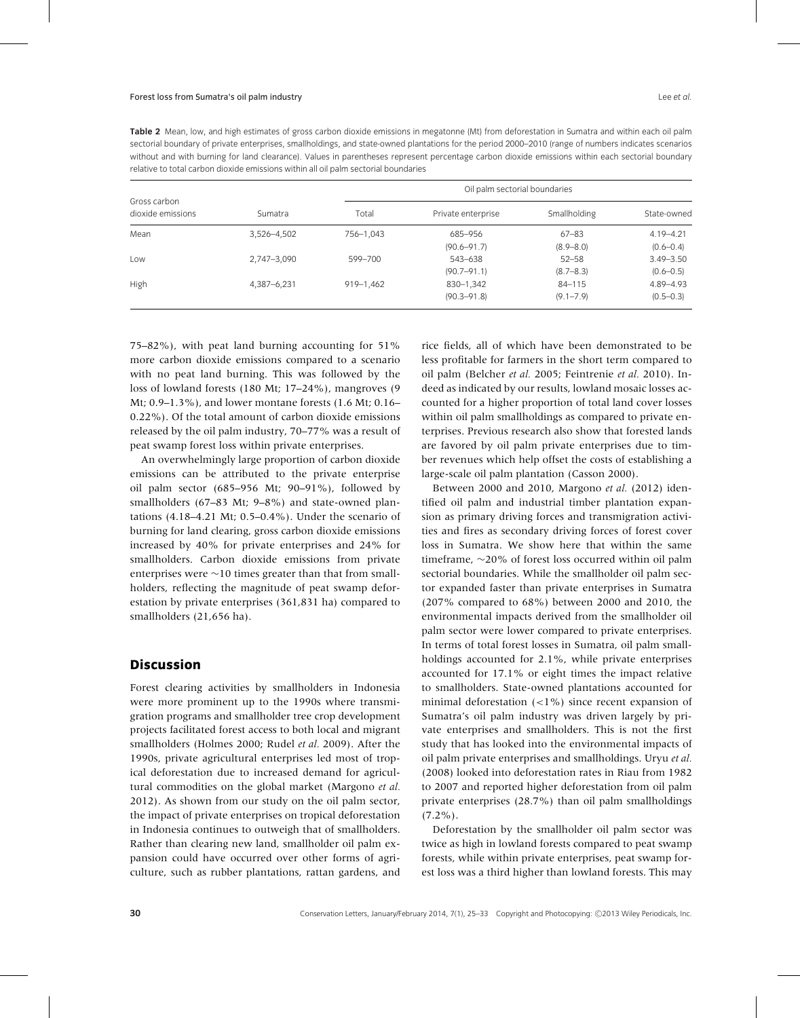**Table 2** Mean, low, and high estimates of gross carbon dioxide emissions in megatonne (Mt) from deforestation in Sumatra and within each oil palm sectorial boundary of private enterprises, smallholdings, and state-owned plantations for the period 2000–2010 (range of numbers indicates scenarios without and with burning for land clearance). Values in parentheses represent percentage carbon dioxide emissions within each sectorial boundary relative to total carbon dioxide emissions within all oil palm sectorial boundaries

| Gross carbon<br>dioxide emissions | Sumatra     | Oil palm sectorial boundaries |                    |               |               |
|-----------------------------------|-------------|-------------------------------|--------------------|---------------|---------------|
|                                   |             | Total                         | Private enterprise | Smallholding  | State-owned   |
| Mean                              | 3,526-4,502 | 756-1,043                     | 685-956            | $67 - 83$     | $4.19 - 4.21$ |
|                                   |             |                               | $(90.6 - 91.7)$    | $(8.9 - 8.0)$ | $(0.6 - 0.4)$ |
| Low                               | 2,747-3,090 | 599-700                       | 543-638            | $52 - 58$     | $3.49 - 3.50$ |
|                                   |             |                               | $(90.7 - 91.1)$    | $(8.7 - 8.3)$ | $(0.6 - 0.5)$ |
| High                              | 4,387-6,231 | $919 - 1,462$                 | 830-1,342          | $84 - 115$    | 4.89-4.93     |
|                                   |             |                               | $(90.3 - 91.8)$    | $(9.1 - 7.9)$ | $(0.5 - 0.3)$ |

75–82%), with peat land burning accounting for 51% more carbon dioxide emissions compared to a scenario with no peat land burning. This was followed by the loss of lowland forests (180 Mt; 17–24%), mangroves (9 Mt; 0.9–1.3%), and lower montane forests (1.6 Mt; 0.16– 0.22%). Of the total amount of carbon dioxide emissions released by the oil palm industry, 70–77% was a result of peat swamp forest loss within private enterprises.

An overwhelmingly large proportion of carbon dioxide emissions can be attributed to the private enterprise oil palm sector (685–956 Mt; 90–91%), followed by smallholders (67–83 Mt; 9–8%) and state-owned plantations (4.18–4.21 Mt; 0.5–0.4%). Under the scenario of burning for land clearing, gross carbon dioxide emissions increased by 40% for private enterprises and 24% for smallholders. Carbon dioxide emissions from private enterprises were ∼10 times greater than that from smallholders, reflecting the magnitude of peat swamp deforestation by private enterprises (361,831 ha) compared to smallholders (21,656 ha).

# **Discussion**

Forest clearing activities by smallholders in Indonesia were more prominent up to the 1990s where transmigration programs and smallholder tree crop development projects facilitated forest access to both local and migrant smallholders (Holmes 2000; Rudel *et al.* 2009). After the 1990s, private agricultural enterprises led most of tropical deforestation due to increased demand for agricultural commodities on the global market (Margono *et al.* 2012). As shown from our study on the oil palm sector, the impact of private enterprises on tropical deforestation in Indonesia continues to outweigh that of smallholders. Rather than clearing new land, smallholder oil palm expansion could have occurred over other forms of agriculture, such as rubber plantations, rattan gardens, and rice fields, all of which have been demonstrated to be less profitable for farmers in the short term compared to oil palm (Belcher *et al.* 2005; Feintrenie *et al.* 2010). Indeed as indicated by our results, lowland mosaic losses accounted for a higher proportion of total land cover losses within oil palm smallholdings as compared to private enterprises. Previous research also show that forested lands are favored by oil palm private enterprises due to timber revenues which help offset the costs of establishing a large-scale oil palm plantation (Casson 2000).

Between 2000 and 2010, Margono *et al.* (2012) identified oil palm and industrial timber plantation expansion as primary driving forces and transmigration activities and fires as secondary driving forces of forest cover loss in Sumatra. We show here that within the same timeframe, ∼20% of forest loss occurred within oil palm sectorial boundaries. While the smallholder oil palm sector expanded faster than private enterprises in Sumatra (207% compared to 68%) between 2000 and 2010, the environmental impacts derived from the smallholder oil palm sector were lower compared to private enterprises. In terms of total forest losses in Sumatra, oil palm smallholdings accounted for 2.1%, while private enterprises accounted for 17.1% or eight times the impact relative to smallholders. State-owned plantations accounted for minimal deforestation (*<*1%) since recent expansion of Sumatra's oil palm industry was driven largely by private enterprises and smallholders. This is not the first study that has looked into the environmental impacts of oil palm private enterprises and smallholdings. Uryu *et al.* (2008) looked into deforestation rates in Riau from 1982 to 2007 and reported higher deforestation from oil palm private enterprises (28.7%) than oil palm smallholdings  $(7.2\%)$ .

Deforestation by the smallholder oil palm sector was twice as high in lowland forests compared to peat swamp forests, while within private enterprises, peat swamp forest loss was a third higher than lowland forests. This may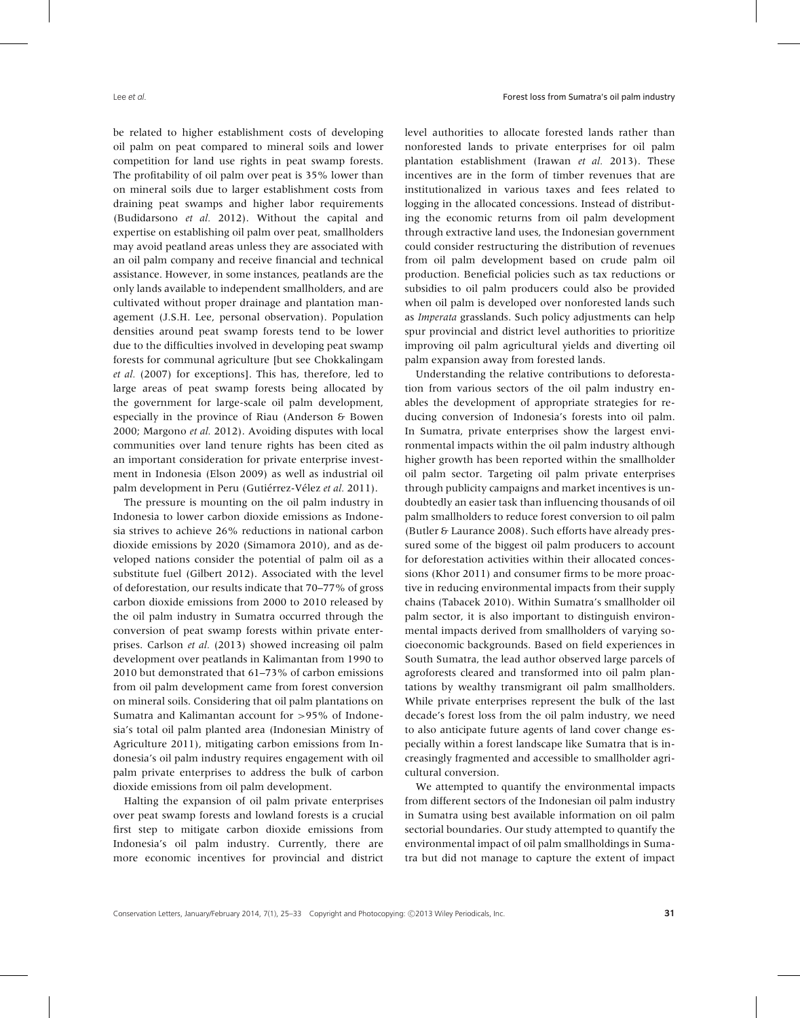be related to higher establishment costs of developing oil palm on peat compared to mineral soils and lower competition for land use rights in peat swamp forests. The profitability of oil palm over peat is 35% lower than on mineral soils due to larger establishment costs from draining peat swamps and higher labor requirements (Budidarsono *et al.* 2012). Without the capital and expertise on establishing oil palm over peat, smallholders may avoid peatland areas unless they are associated with an oil palm company and receive financial and technical assistance. However, in some instances, peatlands are the only lands available to independent smallholders, and are cultivated without proper drainage and plantation management (J.S.H. Lee, personal observation). Population densities around peat swamp forests tend to be lower due to the difficulties involved in developing peat swamp forests for communal agriculture [but see Chokkalingam *et al.* (2007) for exceptions]. This has, therefore, led to large areas of peat swamp forests being allocated by the government for large-scale oil palm development, especially in the province of Riau (Anderson & Bowen 2000; Margono *et al.* 2012). Avoiding disputes with local communities over land tenure rights has been cited as an important consideration for private enterprise investment in Indonesia (Elson 2009) as well as industrial oil palm development in Peru (Gutiérrez-Vélez et al. 2011).

The pressure is mounting on the oil palm industry in Indonesia to lower carbon dioxide emissions as Indonesia strives to achieve 26% reductions in national carbon dioxide emissions by 2020 (Simamora 2010), and as developed nations consider the potential of palm oil as a substitute fuel (Gilbert 2012). Associated with the level of deforestation, our results indicate that 70–77% of gross carbon dioxide emissions from 2000 to 2010 released by the oil palm industry in Sumatra occurred through the conversion of peat swamp forests within private enterprises. Carlson *et al.* (2013) showed increasing oil palm development over peatlands in Kalimantan from 1990 to 2010 but demonstrated that 61–73% of carbon emissions from oil palm development came from forest conversion on mineral soils. Considering that oil palm plantations on Sumatra and Kalimantan account for *>*95% of Indonesia's total oil palm planted area (Indonesian Ministry of Agriculture 2011), mitigating carbon emissions from Indonesia's oil palm industry requires engagement with oil palm private enterprises to address the bulk of carbon dioxide emissions from oil palm development.

Halting the expansion of oil palm private enterprises over peat swamp forests and lowland forests is a crucial first step to mitigate carbon dioxide emissions from Indonesia's oil palm industry. Currently, there are more economic incentives for provincial and district

level authorities to allocate forested lands rather than nonforested lands to private enterprises for oil palm plantation establishment (Irawan *et al.* 2013). These incentives are in the form of timber revenues that are institutionalized in various taxes and fees related to logging in the allocated concessions. Instead of distributing the economic returns from oil palm development through extractive land uses, the Indonesian government could consider restructuring the distribution of revenues from oil palm development based on crude palm oil production. Beneficial policies such as tax reductions or subsidies to oil palm producers could also be provided when oil palm is developed over nonforested lands such as *Imperata* grasslands. Such policy adjustments can help spur provincial and district level authorities to prioritize improving oil palm agricultural yields and diverting oil palm expansion away from forested lands.

Understanding the relative contributions to deforestation from various sectors of the oil palm industry enables the development of appropriate strategies for reducing conversion of Indonesia's forests into oil palm. In Sumatra, private enterprises show the largest environmental impacts within the oil palm industry although higher growth has been reported within the smallholder oil palm sector. Targeting oil palm private enterprises through publicity campaigns and market incentives is undoubtedly an easier task than influencing thousands of oil palm smallholders to reduce forest conversion to oil palm (Butler & Laurance 2008). Such efforts have already pressured some of the biggest oil palm producers to account for deforestation activities within their allocated concessions (Khor 2011) and consumer firms to be more proactive in reducing environmental impacts from their supply chains (Tabacek 2010). Within Sumatra's smallholder oil palm sector, it is also important to distinguish environmental impacts derived from smallholders of varying socioeconomic backgrounds. Based on field experiences in South Sumatra, the lead author observed large parcels of agroforests cleared and transformed into oil palm plantations by wealthy transmigrant oil palm smallholders. While private enterprises represent the bulk of the last decade's forest loss from the oil palm industry, we need to also anticipate future agents of land cover change especially within a forest landscape like Sumatra that is increasingly fragmented and accessible to smallholder agricultural conversion.

We attempted to quantify the environmental impacts from different sectors of the Indonesian oil palm industry in Sumatra using best available information on oil palm sectorial boundaries. Our study attempted to quantify the environmental impact of oil palm smallholdings in Sumatra but did not manage to capture the extent of impact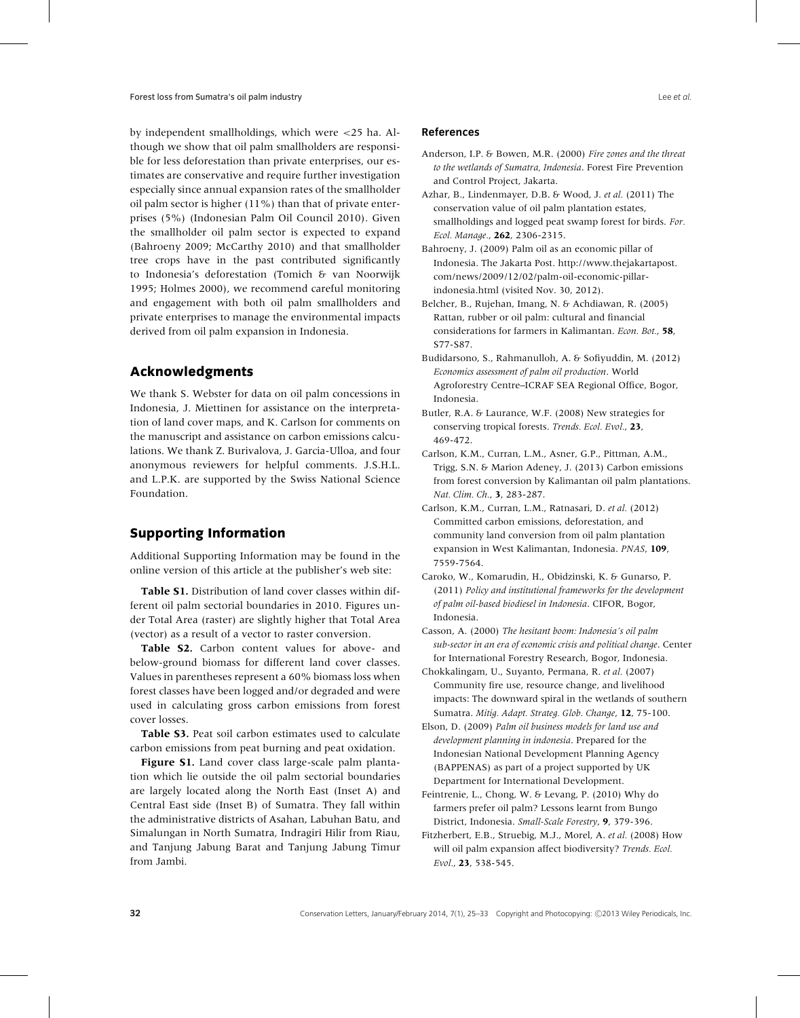by independent smallholdings, which were *<*25 ha. Although we show that oil palm smallholders are responsible for less deforestation than private enterprises, our estimates are conservative and require further investigation especially since annual expansion rates of the smallholder oil palm sector is higher  $(11\%)$  than that of private enterprises (5%) (Indonesian Palm Oil Council 2010). Given the smallholder oil palm sector is expected to expand (Bahroeny 2009; McCarthy 2010) and that smallholder tree crops have in the past contributed significantly to Indonesia's deforestation (Tomich & van Noorwijk 1995; Holmes 2000), we recommend careful monitoring and engagement with both oil palm smallholders and private enterprises to manage the environmental impacts derived from oil palm expansion in Indonesia.

## **Acknowledgments**

We thank S. Webster for data on oil palm concessions in Indonesia, J. Miettinen for assistance on the interpretation of land cover maps, and K. Carlson for comments on the manuscript and assistance on carbon emissions calculations. We thank Z. Burivalova, J. Garcia-Ulloa, and four anonymous reviewers for helpful comments. J.S.H.L. and L.P.K. are supported by the Swiss National Science Foundation.

# **Supporting Information**

Additional Supporting Information may be found in the online version of this article at the publisher's web site:

**Table S1.** Distribution of land cover classes within different oil palm sectorial boundaries in 2010. Figures under Total Area (raster) are slightly higher that Total Area (vector) as a result of a vector to raster conversion.

**Table S2.** Carbon content values for above- and below-ground biomass for different land cover classes. Values in parentheses represent a 60% biomass loss when forest classes have been logged and/or degraded and were used in calculating gross carbon emissions from forest cover losses.

**Table S3.** Peat soil carbon estimates used to calculate carbon emissions from peat burning and peat oxidation.

Figure S1. Land cover class large-scale palm plantation which lie outside the oil palm sectorial boundaries are largely located along the North East (Inset A) and Central East side (Inset B) of Sumatra. They fall within the administrative districts of Asahan, Labuhan Batu, and Simalungan in North Sumatra, Indragiri Hilir from Riau, and Tanjung Jabung Barat and Tanjung Jabung Timur from Jambi.

#### **References**

- Anderson, I.P. & Bowen, M.R. (2000) *Fire zones and the threat to the wetlands of Sumatra, Indonesia*. Forest Fire Prevention and Control Project, Jakarta.
- Azhar, B., Lindenmayer, D.B. & Wood, J. *et al.* (2011) The conservation value of oil palm plantation estates, smallholdings and logged peat swamp forest for birds. *For. Ecol. Manage.*, **262**, 2306-2315.

Bahroeny, J. (2009) Palm oil as an economic pillar of Indonesia. The Jakarta Post. [http://www.thejakartapost.](http://www.thejakartapost.com/news/2009/12/02/palm-oil-economic-pillar-indonesia.html) [com/news/2009/12/02/palm-oil-economic-pillar](http://www.thejakartapost.com/news/2009/12/02/palm-oil-economic-pillar-indonesia.html)[indonesia.html](http://www.thejakartapost.com/news/2009/12/02/palm-oil-economic-pillar-indonesia.html) (visited Nov. 30, 2012).

- Belcher, B., Rujehan, Imang, N. & Achdiawan, R. (2005) Rattan, rubber or oil palm: cultural and financial considerations for farmers in Kalimantan. *Econ. Bot.*, **58**, S77-S87.
- Budidarsono, S., Rahmanulloh, A. & Sofiyuddin, M. (2012) *Economics assessment of palm oil production*. World Agroforestry Centre–ICRAF SEA Regional Office, Bogor, Indonesia.
- Butler, R.A. & Laurance, W.F. (2008) New strategies for conserving tropical forests. *Trends. Ecol. Evol.*, **23**, 469-472.
- Carlson, K.M., Curran, L.M., Asner, G.P., Pittman, A.M., Trigg, S.N. & Marion Adeney, J. (2013) Carbon emissions from forest conversion by Kalimantan oil palm plantations. *Nat. Clim. Ch.*, **3**, 283-287.
- Carlson, K.M., Curran, L.M., Ratnasari, D. *et al.* (2012) Committed carbon emissions, deforestation, and community land conversion from oil palm plantation expansion in West Kalimantan, Indonesia. *PNAS*, **109**, 7559-7564.
- Caroko, W., Komarudin, H., Obidzinski, K. & Gunarso, P. (2011) *Policy and institutional frameworks for the development of palm oil-based biodiesel in Indonesia*. CIFOR, Bogor, Indonesia.
- Casson, A. (2000) *The hesitant boom: Indonesia's oil palm sub-sector in an era of economic crisis and political change*. Center for International Forestry Research, Bogor, Indonesia.
- Chokkalingam, U., Suyanto, Permana, R. *et al.* (2007) Community fire use, resource change, and livelihood impacts: The downward spiral in the wetlands of southern Sumatra. *Mitig. Adapt. Strateg. Glob. Change*, **12**, 75-100.

Elson, D. (2009) *Palm oil business models for land use and development planning in indonesia*. Prepared for the Indonesian National Development Planning Agency (BAPPENAS) as part of a project supported by UK Department for International Development.

- Feintrenie, L., Chong, W. & Levang, P. (2010) Why do farmers prefer oil palm? Lessons learnt from Bungo District, Indonesia. *Small-Scale Forestry*, **9**, 379-396.
- Fitzherbert, E.B., Struebig, M.J., Morel, A. *et al.* (2008) How will oil palm expansion affect biodiversity? *Trends. Ecol. Evol.*, **23**, 538-545.